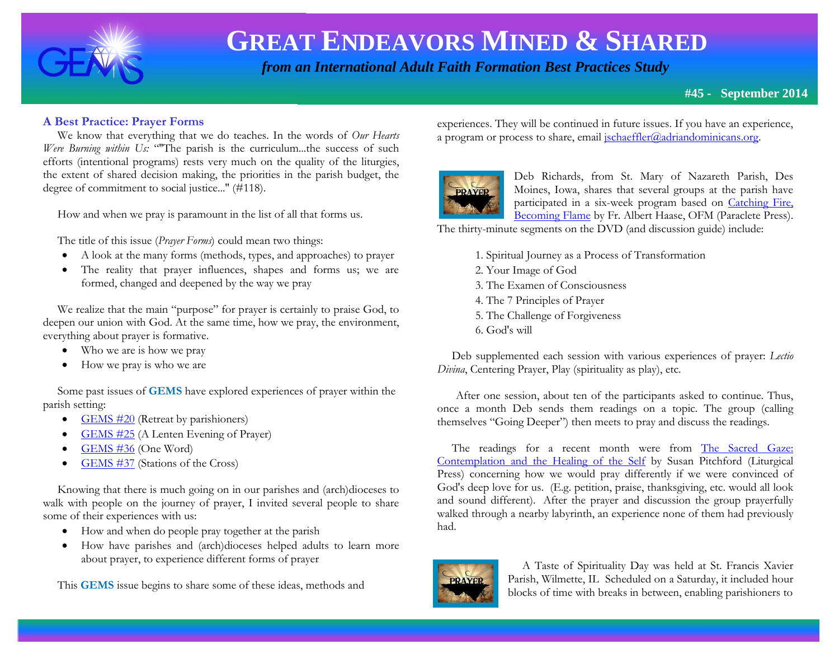

 *from an International Adult Faith Formation Best Practices Study*

#### **A Best Practice: Prayer Forms**

 We know that everything that we do teaches. In the words of *Our Hearts Were Burning within Us:* "The parish is the curriculum...the success of such efforts (intentional programs) rests very much on the quality of the liturgies, the extent of shared decision making, the priorities in the parish budget, the degree of commitment to social justice...'' (#118).

How and when we pray is paramount in the list of all that forms us.

The title of this issue (*Prayer Forms*) could mean two things:

- A look at the many forms (methods, types, and approaches) to prayer
- The reality that prayer influences, shapes and forms us; we are formed, changed and deepened by the way we pray

 We realize that the main "purpose" for prayer is certainly to praise God, to deepen our union with God. At the same time, how we pray, the environment, everything about prayer is formative.

- Who we are is how we pray
- How we pray is who we are

 Some past issues of **GEMS** have explored experiences of prayer within the parish setting:

- $\bullet$  [GEMS #20](http://www.janetschaeffler.com/GEMS__20.pdf) (Retreat by parishioners)
- [GEMS #25](http://www.janetschaeffler.com/GEMS__25.pdf) (A Lenten Evening of Prayer)
- $\bullet$  [GEMS #36](http://www.janetschaeffler.com/GEMS__36_one_word.pdf) (One Word)
- $\bullet$  [GEMS #37](http://www.janetschaeffler.com/GEMS__37_stations_of_the_cross.pdf) (Stations of the Cross)

 Knowing that there is much going on in our parishes and (arch)dioceses to walk with people on the journey of prayer, I invited several people to share some of their experiences with us:

- How and when do people pray together at the parish
- How have parishes and (arch)dioceses helped adults to learn more about prayer, to experience different forms of prayer

This **GEMS** issue begins to share some of these ideas, methods and

experiences. They will be continued in future issues. If you have an experience, a program or process to share, email  $\frac{1}{2}$  ischaeffler@adriandominicans.org.



Deb Richards, from St. Mary of Nazareth Parish, Des Moines, Iowa, shares that several groups at the parish have participated in a six-week program based on [Catching Fire,](http://www.paracletepress.com/catching-fire-becoming-flame.html)  [Becoming Flame](http://www.paracletepress.com/catching-fire-becoming-flame.html) by Fr. Albert Haase, OFM (Paraclete Press).

The thirty-minute segments on the DVD (and discussion guide) include:

- 1. Spiritual Journey as a Process of Transformation
- 2. Your Image of God
- 3. The Examen of Consciousness
- 4. The 7 Principles of Prayer
- 5. The Challenge of Forgiveness
- 6. God's will

 Deb supplemented each session with various experiences of prayer: *Lectio Divina*, Centering Prayer, Play (spirituality as play), etc.

 After one session, about ten of the participants asked to continue. Thus, once a month Deb sends them readings on a topic. The group (calling themselves "Going Deeper") then meets to pray and discuss the readings.

 The readings for a recent month were from [The Sacred Gaze:](http://www.litpress.org/Products/3568/the-sacred-gaze.aspx)  [Contemplation and the Healing of the Self](http://www.litpress.org/Products/3568/the-sacred-gaze.aspx) by Susan Pitchford (Liturgical Press) concerning how we would pray differently if we were convinced of God's deep love for us. (E.g. petition, praise, thanksgiving, etc. would all look and sound different). After the prayer and discussion the group prayerfully walked through a nearby labyrinth, an experience none of them had previously had.



 A Taste of Spirituality Day was held at St. Francis Xavier Parish, Wilmette, IL Scheduled on a Saturday, it included hour blocks of time with breaks in between, enabling parishioners to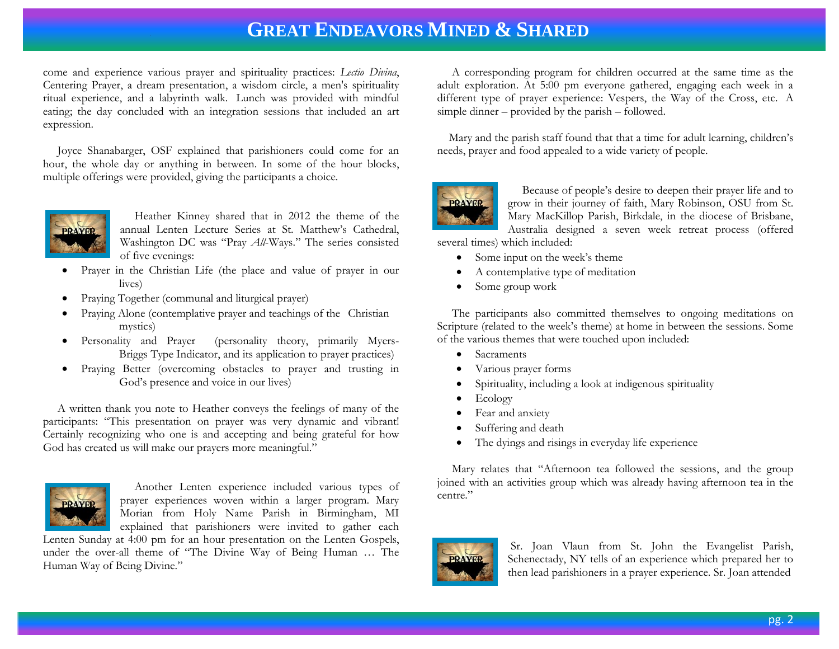come and experience various prayer and spirituality practices: *Lectio Divina*, Centering Prayer, a dream presentation, a wisdom circle, a men's spirituality ritual experience, and a labyrinth walk. Lunch was provided with mindful eating; the day concluded with an integration sessions that included an art expression.

 Joyce Shanabarger, OSF explained that parishioners could come for an hour, the whole day or anything in between. In some of the hour blocks, multiple offerings were provided, giving the participants a choice.



 Heather Kinney shared that in 2012 the theme of the annual Lenten Lecture Series at St. Matthew's Cathedral, Washington DC was "Pray *All*-Ways." The series consisted of five evenings:

- Prayer in the Christian Life (the place and value of prayer in our lives)
- Praying Together (communal and liturgical prayer)
- Praying Alone (contemplative prayer and teachings of the Christian mystics)
- Personality and Prayer (personality theory, primarily Myers-Briggs Type Indicator, and its application to prayer practices)
- Praying Better (overcoming obstacles to prayer and trusting in God's presence and voice in our lives)

 A written thank you note to Heather conveys the feelings of many of the participants: "This presentation on prayer was very dynamic and vibrant! Certainly recognizing who one is and accepting and being grateful for how God has created us will make our prayers more meaningful."



 Another Lenten experience included various types of prayer experiences woven within a larger program. Mary Morian from Holy Name Parish in Birmingham, MI explained that parishioners were invited to gather each

Lenten Sunday at 4:00 pm for an hour presentation on the Lenten Gospels, under the over-all theme of "The Divine Way of Being Human … The Human Way of Being Divine."

 A corresponding program for children occurred at the same time as the adult exploration. At 5:00 pm everyone gathered, engaging each week in a different type of prayer experience: Vespers, the Way of the Cross, etc. A simple dinner – provided by the parish – followed.

 Mary and the parish staff found that that a time for adult learning, children's needs, prayer and food appealed to a wide variety of people.



 Because of people's desire to deepen their prayer life and to grow in their journey of faith, Mary Robinson, OSU from St. Mary MacKillop Parish, Birkdale, in the diocese of Brisbane, Australia designed a seven week retreat process (offered

several times) which included:

- Some input on the week's theme
- A contemplative type of meditation
- Some group work

 The participants also committed themselves to ongoing meditations on Scripture (related to the week's theme) at home in between the sessions. Some of the various themes that were touched upon included:

- Sacraments
- Various prayer forms
- Spirituality, including a look at indigenous spirituality
- Ecology
- Fear and anxiety
- Suffering and death
- The dyings and risings in everyday life experience

 Mary relates that "Afternoon tea followed the sessions, and the group joined with an activities group which was already having afternoon tea in the centre."



Sr. Joan Vlaun from St. John the Evangelist Parish, Schenectady, NY tells of an experience which prepared her to then lead parishioners in a prayer experience. Sr. Joan attended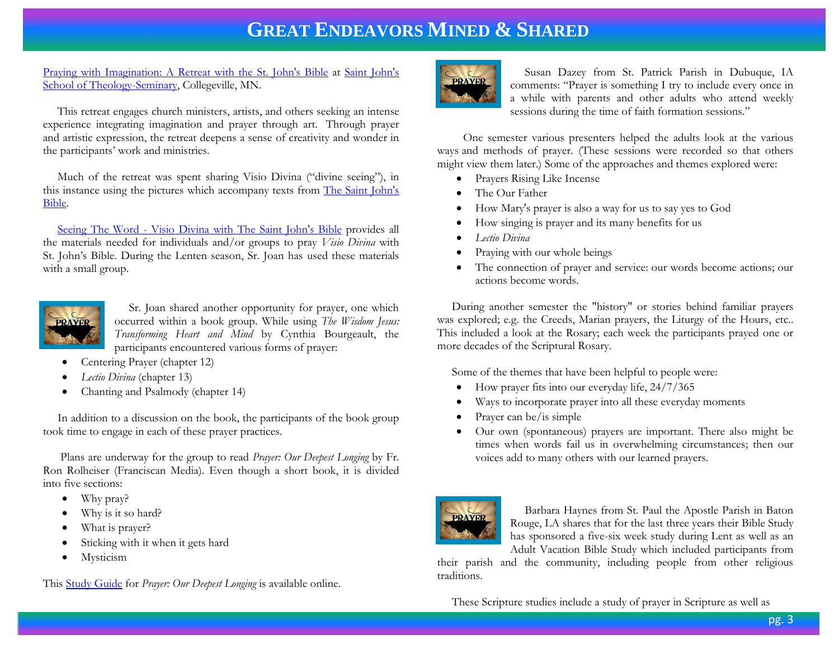[Praying with Imagination: A Retreat with the St. John's Bible](http://www.csbsju.edu/sot/lifelong-learning-and-events/conversatio-lifelong-learning-events/praying-with-imagination) at [Saint John's](http://www.csbsju.edu/sot)  [School of Theology-Seminary,](http://www.csbsju.edu/sot) Collegeville, MN.

 This retreat engages church ministers, artists, and others seeking an intense experience integrating imagination and prayer through art. Through prayer and artistic expression, the retreat deepens a sense of creativity and wonder in the participants' work and ministries.

 Much of the retreat was spent sharing Visio Divina ("divine seeing"), in this instance using the pictures which accompany texts from [The Saint John's](http://www.saintjohnsbible.org/)  [Bible.](http://www.saintjohnsbible.org/)

 Seeing The Word - [Visio Divina with The Saint John's Bible](http://www.seeingtheword.org/) provides all the materials needed for individuals and/or groups to pray *Visio Divina* with St. John's Bible. During the Lenten season, Sr. Joan has used these materials with a small group.



 Sr. Joan shared another opportunity for prayer, one which occurred within a book group. While using *The Wisdom Jesus: Transforming Heart and Mind* by Cynthia Bourgeault, the participants encountered various forms of prayer:

- Centering Prayer (chapter 12)
- *Lectio Divina* (chapter 13)
- Chanting and Psalmody (chapter 14)

 In addition to a discussion on the book, the participants of the book group took time to engage in each of these prayer practices.

 Plans are underway for the group to read *Prayer: Our Deepest Longing* by Fr. Ron Rolheiser (Franciscan Media). Even though a short book, it is divided into five sections:

- Why pray?
- Why is it so hard?
- What is prayer?
- Sticking with it when it gets hard
- Mysticism

This [Study Guide](http://franciscanmedia.org/ronrolheiser/files/RolheiserstudyguidePrayer.pdf) for *Prayer: Our Deepest Longing* is available online.



 Susan Dazey from St. Patrick Parish in Dubuque, IA comments: "Prayer is something I try to include every once in a while with parents and other adults who attend weekly sessions during the time of faith formation sessions."

 One semester various presenters helped the adults look at the various ways and methods of prayer. (These sessions were recorded so that others might view them later.) Some of the approaches and themes explored were:

- Prayers Rising Like Incense
- The Our Father
- How Mary's prayer is also a way for us to say yes to God
- How singing is prayer and its many benefits for us
- *Lectio Divina*
- Praying with our whole beings
- The connection of prayer and service: our words become actions; our actions become words.

 During another semester the "history" or stories behind familiar prayers was explored; e.g. the Creeds, Marian prayers, the Liturgy of the Hours, etc.. This included a look at the Rosary; each week the participants prayed one or more decades of the Scriptural Rosary.

Some of the themes that have been helpful to people were:

- How prayer fits into our everyday life, 24/7/365
- Ways to incorporate prayer into all these everyday moments
- Prayer can be/is simple
- Our own (spontaneous) prayers are important. There also might be times when words fail us in overwhelming circumstances; then our voices add to many others with our learned prayers.



 Barbara Haynes from St. Paul the Apostle Parish in Baton Rouge, LA shares that for the last three years their Bible Study has sponsored a five-six week study during Lent as well as an Adult Vacation Bible Study which included participants from

their parish and the community, including people from other religious traditions.

These Scripture studies include a study of prayer in Scripture as well as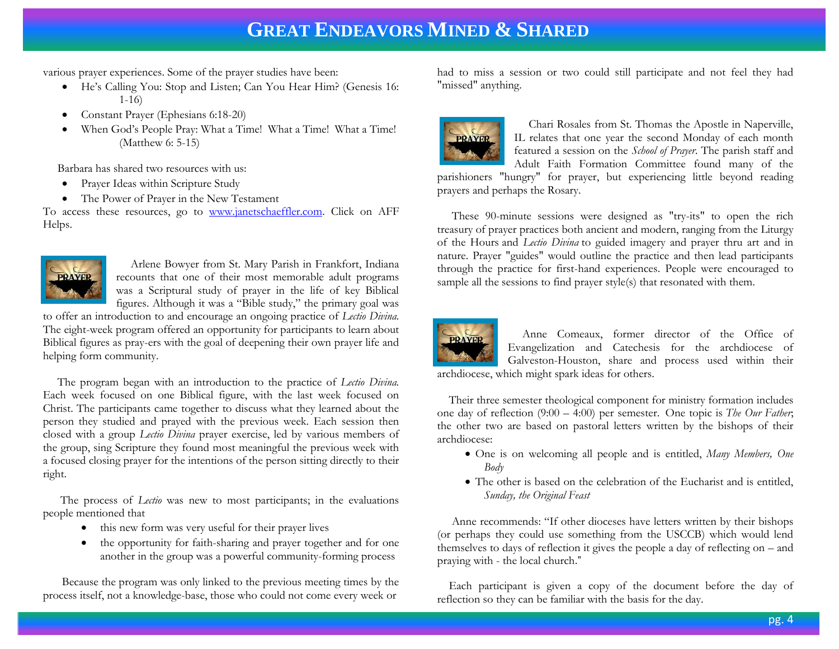various prayer experiences. Some of the prayer studies have been:

- He's Calling You: Stop and Listen; Can You Hear Him? (Genesis 16: 1-16)
- Constant Prayer (Ephesians 6:18-20)
- When God's People Pray: What a Time! What a Time! What a Time! (Matthew 6: 5-15)

Barbara has shared two resources with us:

- Prayer Ideas within Scripture Study
- The Power of Prayer in the New Testament

To access these resources, go to [www.janetschaeffler.com.](http://www.janetschaeffler.com/) Click on AFF Helps.



 Arlene Bowyer from St. Mary Parish in Frankfort, Indiana recounts that one of their most memorable adult programs was a Scriptural study of prayer in the life of key Biblical figures. Although it was a "Bible study," the primary goal was

to offer an introduction to and encourage an ongoing practice of *Lectio Divina.*  The eight-week program offered an opportunity for participants to learn about Biblical figures as pray-ers with the goal of deepening their own prayer life and helping form community.

 The program began with an introduction to the practice of *Lectio Divina.*  Each week focused on one Biblical figure, with the last week focused on Christ. The participants came together to discuss what they learned about the person they studied and prayed with the previous week. Each session then closed with a group *Lectio Divina* prayer exercise, led by various members of the group, sing Scripture they found most meaningful the previous week with a focused closing prayer for the intentions of the person sitting directly to their right.

 The process of *Lectio* was new to most participants; in the evaluations people mentioned that

- this new form was very useful for their prayer lives
- the opportunity for faith-sharing and prayer together and for one another in the group was a powerful community-forming process

Because the program was only linked to the previous meeting times by the process itself, not a knowledge-base, those who could not come every week or

had to miss a session or two could still participate and not feel they had "missed" anything.



 Chari Rosales from St. Thomas the Apostle in Naperville, IL relates that one year the second Monday of each month featured a session on the *School of Prayer*. The parish staff and Adult Faith Formation Committee found many of the

parishioners "hungry" for prayer, but experiencing little beyond reading prayers and perhaps the Rosary.

 These 90-minute sessions were designed as "try-its" to open the rich treasury of prayer practices both ancient and modern, ranging from the Liturgy of the Hours and *Lectio Divina* to guided imagery and prayer thru art and in nature. Prayer "guides" would outline the practice and then lead participants through the practice for first-hand experiences. People were encouraged to sample all the sessions to find prayer style(s) that resonated with them.



 Anne Comeaux, former director of the Office of Evangelization and Catechesis for the archdiocese of Galveston-Houston, share and process used within their archdiocese, which might spark ideas for others.

 Their three semester theological component for ministry formation includes one day of reflection (9:00 – 4:00) per semester. One topic is *The Our Father*; the other two are based on pastoral letters written by the bishops of their archdiocese:

- One is on welcoming all people and is entitled, *Many Members, One Body*
- The other is based on the celebration of the Eucharist and is entitled, *Sunday, the Original Feast*

 Anne recommends: "If other dioceses have letters written by their bishops (or perhaps they could use something from the USCCB) which would lend themselves to days of reflection it gives the people a day of reflecting on – and praying with - the local church."

 Each participant is given a copy of the document before the day of reflection so they can be familiar with the basis for the day.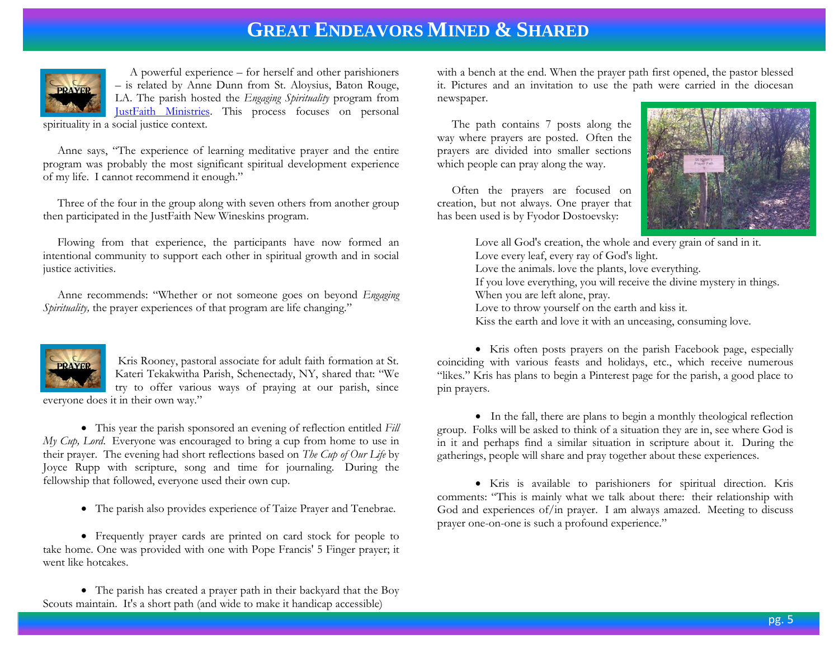

 A powerful experience – for herself and other parishioners – is related by Anne Dunn from St. Aloysius, Baton Rouge, LA. The parish hosted the *Engaging Spirituality* program from [JustFaith Ministries.](http://justfaith.org/) This process focuses on personal spirituality in a social justice context.

 Anne says, "The experience of learning meditative prayer and the entire program was probably the most significant spiritual development experience of my life. I cannot recommend it enough."

 Three of the four in the group along with seven others from another group then participated in the JustFaith New Wineskins program.

 Flowing from that experience, the participants have now formed an intentional community to support each other in spiritual growth and in social justice activities.

 Anne recommends: "Whether or not someone goes on beyond *Engaging Spirituality*, the prayer experiences of that program are life changing."



Kris Rooney, pastoral associate for adult faith formation at St. Kateri Tekakwitha Parish, Schenectady, NY, shared that: "We try to offer various ways of praying at our parish, since everyone does it in their own way."

 This year the parish sponsored an evening of reflection entitled *Fill My Cup, Lord.* Everyone was encouraged to bring a cup from home to use in their prayer. The evening had short reflections based on *The Cup of Our Life* by Joyce Rupp with scripture, song and time for journaling. During the fellowship that followed, everyone used their own cup.

The parish also provides experience of Taize Prayer and Tenebrae.

 Frequently prayer cards are printed on card stock for people to take home. One was provided with one with Pope Francis' 5 Finger prayer; it went like hotcakes.

 The parish has created a prayer path in their backyard that the Boy Scouts maintain. It's a short path (and wide to make it handicap accessible)

with a bench at the end. When the prayer path first opened, the pastor blessed it. Pictures and an invitation to use the path were carried in the diocesan newspaper.

 The path contains 7 posts along the way where prayers are posted. Often the prayers are divided into smaller sections which people can pray along the way.

 Often the prayers are focused on creation, but not always. One prayer that has been used is by Fyodor Dostoevsky:



Love all God's creation, the whole and every grain of sand in it. Love every leaf, every ray of God's light. Love the animals. love the plants, love everything. If you love everything, you will receive the divine mystery in things. When you are left alone, pray. Love to throw yourself on the earth and kiss it. Kiss the earth and love it with an unceasing, consuming love.

 Kris often posts prayers on the parish Facebook page, especially coinciding with various feasts and holidays, etc., which receive numerous "likes." Kris has plans to begin a Pinterest page for the parish, a good place to pin prayers.

 In the fall, there are plans to begin a monthly theological reflection group. Folks will be asked to think of a situation they are in, see where God is in it and perhaps find a similar situation in scripture about it. During the gatherings, people will share and pray together about these experiences.

 Kris is available to parishioners for spiritual direction. Kris comments: "This is mainly what we talk about there: their relationship with God and experiences of/in prayer. I am always amazed. Meeting to discuss prayer one-on-one is such a profound experience."